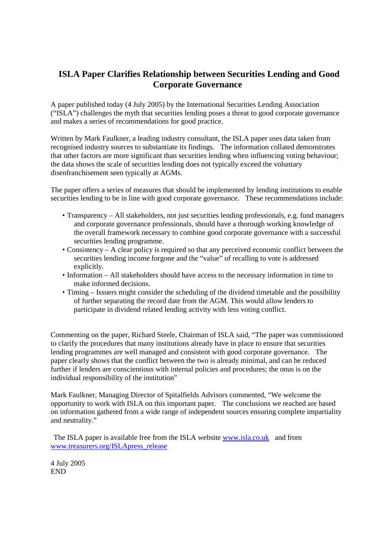# **ISLA Paper Clarifies Relationship between Securities Lending and Good Corporate Governance**

A paper published today (4 July 2005) by the International Securities Lending Association ("ISLA") challenges the myth that securities lending poses a threat to good corporate governance and makes a series of recommendations for good practice.

Written by Mark Faulkner, a leading industry consultant, the ISLA paper uses data taken from recognised industry sources to substantiate its findings. The information collated demonstrates that other factors are more significant than securities lending when influencing voting behaviour; the data shows the scale of securities lending does not typically exceed the voluntary disenfranchisement seen typically at AGMs.

The paper offers a series of measures that should be implemented by lending institutions to enable securities lending to be in line with good corporate governance. These recommendations include:

- Transparency All stakeholders, not just securities lending professionals, e.g. fund managers and corporate governance professionals, should have a thorough working knowledge of the overall framework necessary to combine good corporate governance with a successful securities lending programme.
- Consistency A clear policy is required so that any perceived economic conflict between the securities lending income forgone and the "value" of recalling to vote is addressed explicitly.
- Information All stakeholders should have access to the necessary information in time to make informed decisions.
- Timing Issuers might consider the scheduling of the dividend timetable and the possibility of further separating the record date from the AGM. This would allow lenders to participate in dividend related lending activity with less voting conflict.

Commenting on the paper, Richard Steele, Chairman of ISLA said, "The paper was commissioned to clarify the procedures that many institutions already have in place to ensure that securities lending programmes are well managed and consistent with good corporate governance. The paper clearly shows that the conflict between the two is already minimal, and can be reduced further if lenders are conscientious with internal policies and procedures; the onus is on the individual responsibility of the institution"

Mark Faulkner, Managing Director of Spitalfields Advisors commented, "We welcome the opportunity to work with ISLA on this important paper. The conclusions we reached are based on information gathered from a wide range of independent sources ensuring complete impartiality and neutrality."

The ISLA paper is available free from the ISLA website www.isla.co.uk and from www.treasurers.org/ISLApress\_release

4 July 2005 END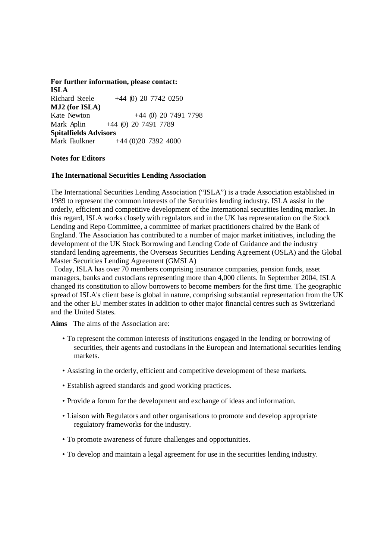**For further information, please contact: ISLA**  Richard Steele +44 (0) 20 7742 0250 **MJ2 (for ISLA)**  Kate Newton +44 (0) 20 7491 7798 Mark Aplin +44 (0) 20 7491 7789 **Spitalfields Advisors**  Mark Faulkner +44 (0)20 7392 4000

### **Notes for Editors**

#### **The International Securities Lending Association**

The International Securities Lending Association ("ISLA") is a trade Association established in 1989 to represent the common interests of the Securities lending industry. ISLA assist in the orderly, efficient and competitive development of the International securities lending market. In this regard, ISLA works closely with regulators and in the UK has representation on the Stock Lending and Repo Committee, a committee of market practitioners chaired by the Bank of England. The Association has contributed to a number of major market initiatives, including the development of the UK Stock Borrowing and Lending Code of Guidance and the industry standard lending agreements, the Overseas Securities Lending Agreement (OSLA) and the Global Master Securities Lending Agreement (GMSLA)

Today, ISLA has over 70 members comprising insurance companies, pension funds, asset managers, banks and custodians representing more than 4,000 clients. In September 2004, ISLA changed its constitution to allow borrowers to become members for the first time. The geographic spread of ISLA's client base is global in nature, comprising substantial representation from the UK and the other EU member states in addition to other major financial centres such as Switzerland and the United States.

**Aims** The aims of the Association are:

- To represent the common interests of institutions engaged in the lending or borrowing of securities, their agents and custodians in the European and International securities lending markets.
- Assisting in the orderly, efficient and competitive development of these markets.
- Establish agreed standards and good working practices.
- Provide a forum for the development and exchange of ideas and information.
- Liaison with Regulators and other organisations to promote and develop appropriate regulatory frameworks for the industry.
- To promote awareness of future challenges and opportunities.
- To develop and maintain a legal agreement for use in the securities lending industry.